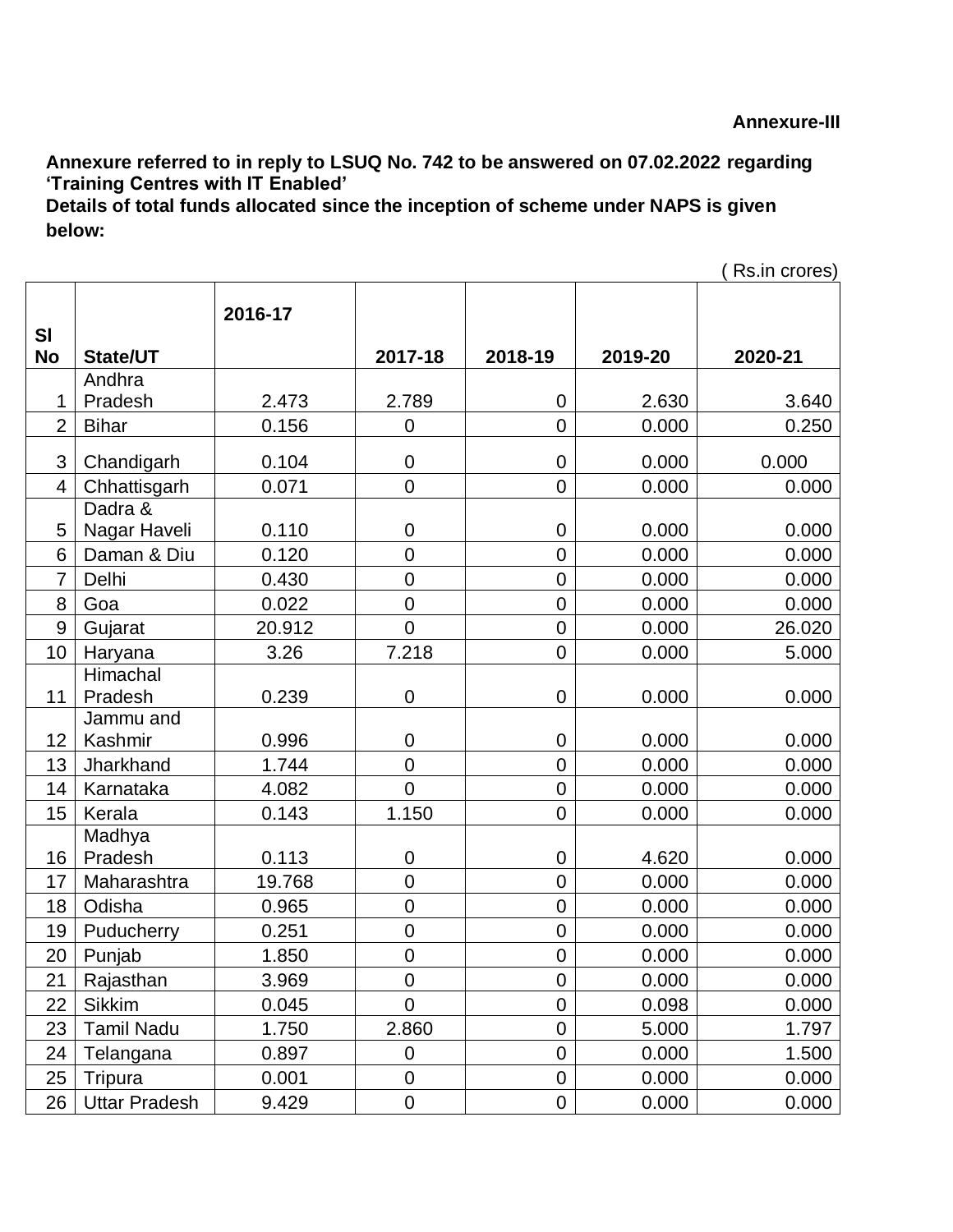**Annexure referred to in reply to LSUQ No. 742 to be answered on 07.02.2022 regarding 'Training Centres with IT Enabled'**

**Details of total funds allocated since the inception of scheme under NAPS is given below:**

|                |                      |         |                |                  |         | Rs.in crores) |
|----------------|----------------------|---------|----------------|------------------|---------|---------------|
| <b>SI</b>      |                      | 2016-17 |                |                  |         |               |
| <b>No</b>      | <b>State/UT</b>      |         | 2017-18        | 2018-19          | 2019-20 | 2020-21       |
|                | Andhra               |         |                |                  |         |               |
| 1              | Pradesh              | 2.473   | 2.789          | $\mathbf 0$      | 2.630   | 3.640         |
| $\overline{2}$ | <b>Bihar</b>         | 0.156   | $\mathbf 0$    | $\overline{0}$   | 0.000   | 0.250         |
| 3              | Chandigarh           | 0.104   | $\mathbf 0$    | $\mathbf 0$      | 0.000   | 0.000         |
| 4              | Chhattisgarh         | 0.071   | $\mathsf 0$    | $\mathbf 0$      | 0.000   | 0.000         |
|                | Dadra &              |         |                |                  |         |               |
| 5              | Nagar Haveli         | 0.110   | $\mathbf 0$    | $\mathbf 0$      | 0.000   | 0.000         |
| 6              | Daman & Diu          | 0.120   | $\overline{0}$ | $\overline{0}$   | 0.000   | 0.000         |
| $\overline{7}$ | Delhi                | 0.430   | $\overline{0}$ | $\overline{0}$   | 0.000   | 0.000         |
| 8              | Goa                  | 0.022   | $\mathbf 0$    | $\boldsymbol{0}$ | 0.000   | 0.000         |
| 9              | Gujarat              | 20.912  | $\overline{0}$ | 0                | 0.000   | 26.020        |
| 10             | Haryana              | 3.26    | 7.218          | $\overline{0}$   | 0.000   | 5.000         |
| 11             | Himachal<br>Pradesh  | 0.239   | $\mathbf 0$    | $\boldsymbol{0}$ | 0.000   | 0.000         |
|                | Jammu and            |         |                |                  |         |               |
| 12             | Kashmir              | 0.996   | $\mathbf 0$    | $\mathbf 0$      | 0.000   | 0.000         |
| 13             | Jharkhand            | 1.744   | $\overline{0}$ | $\overline{0}$   | 0.000   | 0.000         |
| 14             | Karnataka            | 4.082   | $\overline{0}$ | 0                | 0.000   | 0.000         |
| 15             | Kerala               | 0.143   | 1.150          | $\overline{0}$   | 0.000   | 0.000         |
| 16             | Madhya<br>Pradesh    | 0.113   | 0              | $\mathbf 0$      | 4.620   | 0.000         |
| 17             | Maharashtra          | 19.768  | $\mathbf 0$    | $\overline{0}$   | 0.000   | 0.000         |
| 18             | Odisha               | 0.965   | $\overline{0}$ | $\overline{0}$   | 0.000   | 0.000         |
| 19             | Puducherry           | 0.251   | $\mathbf 0$    | 0                | 0.000   | 0.000         |
| 20             | Punjab               | 1.850   | $\overline{0}$ | $\overline{0}$   | 0.000   | 0.000         |
| 21             | Rajasthan            | 3.969   | $\mathbf 0$    | $\boldsymbol{0}$ | 0.000   | 0.000         |
| 22             | <b>Sikkim</b>        | 0.045   | $\mathbf 0$    | $\mathsf 0$      | 0.098   | 0.000         |
| 23             | <b>Tamil Nadu</b>    | 1.750   | 2.860          | 0                | 5.000   | 1.797         |
| 24             | Telangana            | 0.897   | $\pmb{0}$      | $\mathbf 0$      | 0.000   | 1.500         |
| 25             | Tripura              | 0.001   | $\mathbf 0$    | $\boldsymbol{0}$ | 0.000   | 0.000         |
| 26             | <b>Uttar Pradesh</b> | 9.429   | $\mathbf 0$    | 0                | 0.000   | 0.000         |